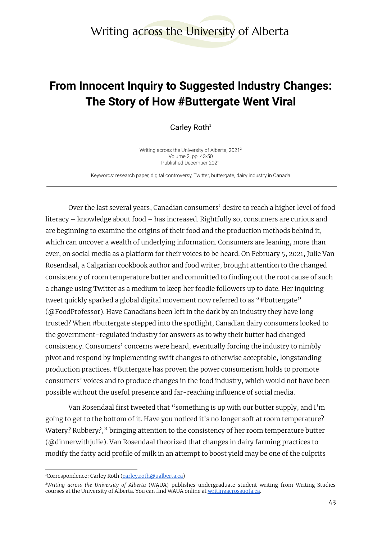## **From Innocent Inquiry to Suggested Industry Changes: The Story of How #Buttergate Went Viral**

Carley Roth $1$ 

Writing across the University of Alberta, 2021 2 Volume 2, pp. 43-50 Published December 2021

Keywords: research paper, digital controversy, Twitter, buttergate, dairy industry in Canada

Over the last several years, Canadian consumers' desire to reach a higher level of food literacy – knowledge about food – has increased. Rightfully so, consumers are curious and are beginning to examine the origins of their food and the production methods behind it, which can uncover a wealth of underlying information. Consumers are leaning, more than ever, on social media as a platform for their voices to be heard. On February 5, 2021, Julie Van Rosendaal, a Calgarian cookbook author and food writer, brought attention to the changed consistency of room temperature butter and committed to finding out the root cause of such a change using Twitter as a medium to keep her foodie followers up to date. Her inquiring tweet quickly sparked a global digital movement now referred to as "#buttergate" (@FoodProfessor). Have Canadians been left in the dark by an industry they have long trusted? When #buttergate stepped into the spotlight, Canadian dairy consumers looked to the government-regulated industry for answers as to why their butter had changed consistency. Consumers' concerns were heard, eventually forcing the industry to nimbly pivot and respond by implementing swift changes to otherwise acceptable, longstanding production practices. #Buttergate has proven the power consumerism holds to promote consumers' voices and to produce changes in the food industry, which would not have been possible without the useful presence and far-reaching influence of social media.

Van Rosendaal first tweeted that "something is up with our butter supply, and I'm going to get to the bottom of it. Have you noticed it's no longer soft at room temperature? Watery? Rubbery?," bringing attention to the consistency of her room temperature butter (@dinnerwithjulie). Van Rosendaal theorized that changes in dairy farming practices to modify the fatty acid profile of milk in an attempt to boost yield may be one of the culprits

<sup>&</sup>lt;sup>1</sup>Correspondence: Carley Roth [\(carley.roth@ualberta.ca](mailto:carley.roth@ualberta.ca))

*<sup>2</sup>Writing across the University of Alberta* (WAUA) publishes undergraduate student writing from Writing Studies courses at the University of Alberta. You can find WAUA online at [writingacrossuofa.ca.](https://writingacrossuofa.ca/)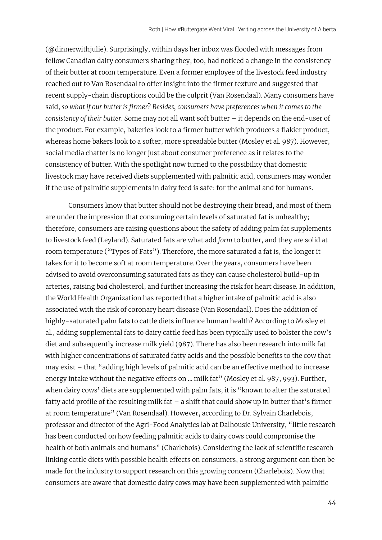(@dinnerwithjulie). Surprisingly, within days her inbox was flooded with messages from fellow Canadian dairy consumers sharing they, too, had noticed a change in the consistency of their butter at room temperature. Even a former employee of the livestock feed industry reached out to Van Rosendaal to offer insight into the firmer texture and suggested that recent supply-chain disruptions could be the culprit (Van Rosendaal). Many consumers have said, *so what if our butter is firmer*? *Besides, consumers have preferences when it comes to the consistency of their butter*. Some may not all want soft butter – it depends on the end-user of the product. For example, bakeries look to a firmer butter which produces a flakier product, whereas home bakers look to a softer, more spreadable butter (Mosley et al. 987). However, social media chatter is no longer just about consumer preference as it relates to the consistency of butter. With the spotlight now turned to the possibility that domestic livestock may have received diets supplemented with palmitic acid, consumers may wonder if the use of palmitic supplements in dairy feed is safe: for the animal and for humans.

Consumers know that butter should not be destroying their bread, and most of them are under the impression that consuming certain levels of saturated fat is unhealthy; therefore, consumers are raising questions about the safety of adding palm fat supplements to livestock feed (Leyland). Saturated fats are what add *form* to butter, and they are solid at room temperature ("Types of Fats"). Therefore, the more saturated a fat is, the longer it takes for it to become soft at room temperature. Over the years, consumers have been advised to avoid overconsuming saturated fats as they can cause cholesterol build-up in arteries, raising *bad* cholesterol, and further increasing the risk for heart disease. In addition, the World Health Organization has reported that a higher intake of palmitic acid is also associated with the risk of coronary heart disease (Van Rosendaal). Does the addition of highly-saturated palm fats to cattle diets influence human health? According to Mosley et al., adding supplemental fats to dairy cattle feed has been typically used to bolster the cow's diet and subsequently increase milk yield (987). There has also been research into milk fat with higher concentrations of saturated fatty acids and the possible benefits to the cow that may exist – that "adding high levels of palmitic acid can be an effective method to increase energy intake without the negative effects on … milk fat" (Mosley et al. 987, 993). Further, when dairy cows' diets are supplemented with palm fats, it is "known to alter the saturated fatty acid profile of the resulting milk fat – a shift that could show up in butter that's firmer at room temperature" (Van Rosendaal). However, according to Dr. Sylvain Charlebois, professor and director of the Agri-Food Analytics lab at Dalhousie University, "little research has been conducted on how feeding palmitic acids to dairy cows could compromise the health of both animals and humans" (Charlebois). Considering the lack of scientific research linking cattle diets with possible health effects on consumers, a strong argument can then be made for the industry to support research on this growing concern (Charlebois). Now that consumers are aware that domestic dairy cows may have been supplemented with palmitic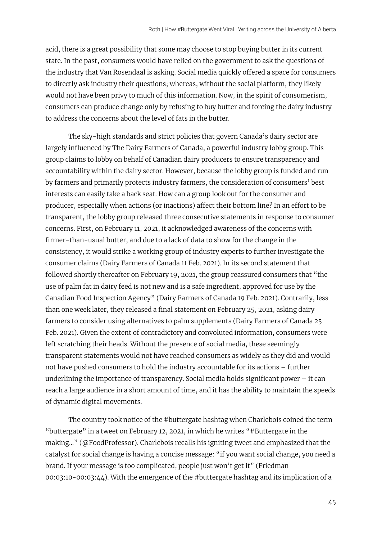acid, there is a great possibility that some may choose to stop buying butter in its current state. In the past, consumers would have relied on the government to ask the questions of the industry that Van Rosendaal is asking. Social media quickly offered a space for consumers to directly ask industry their questions; whereas, without the social platform, they likely would not have been privy to much of this information. Now, in the spirit of consumerism, consumers can produce change only by refusing to buy butter and forcing the dairy industry to address the concerns about the level of fats in the butter.

The sky-high standards and strict policies that govern Canada's dairy sector are largely influenced by The Dairy Farmers of Canada, a powerful industry lobby group. This group claims to lobby on behalf of Canadian dairy producers to ensure transparency and accountability within the dairy sector. However, because the lobby group is funded and run by farmers and primarily protects industry farmers, the consideration of consumers' best interests can easily take a back seat. How can a group look out for the consumer and producer, especially when actions (or inactions) affect their bottom line? In an effort to be transparent, the lobby group released three consecutive statements in response to consumer concerns. First, on February 11, 2021, it acknowledged awareness of the concerns with firmer-than-usual butter, and due to a lack of data to show for the change in the consistency, it would strike a working group of industry experts to further investigate the consumer claims (Dairy Farmers of Canada 11 Feb. 2021). In its second statement that followed shortly thereafter on February 19, 2021, the group reassured consumers that "the use of palm fat in dairy feed is not new and is a safe ingredient, approved for use by the Canadian Food Inspection Agency" (Dairy Farmers of Canada 19 Feb. 2021). Contrarily, less than one week later, they released a final statement on February 25, 2021, asking dairy farmers to consider using alternatives to palm supplements (Dairy Farmers of Canada 25 Feb. 2021). Given the extent of contradictory and convoluted information, consumers were left scratching their heads. Without the presence of social media, these seemingly transparent statements would not have reached consumers as widely as they did and would not have pushed consumers to hold the industry accountable for its actions – further underlining the importance of transparency. Social media holds significant power – it can reach a large audience in a short amount of time, and it has the ability to maintain the speeds of dynamic digital movements.

The country took notice of the #buttergate hashtag when Charlebois coined the term "buttergate" in a tweet on February 12, 2021, in which he writes "#Buttergate in the making…" (@FoodProfessor). Charlebois recalls his igniting tweet and emphasized that the catalyst for social change is having a concise message: "if you want social change, you need a brand. If your message is too complicated, people just won't get it" (Friedman 00:03:10-00:03:44). With the emergence of the #buttergate hashtag and its implication of a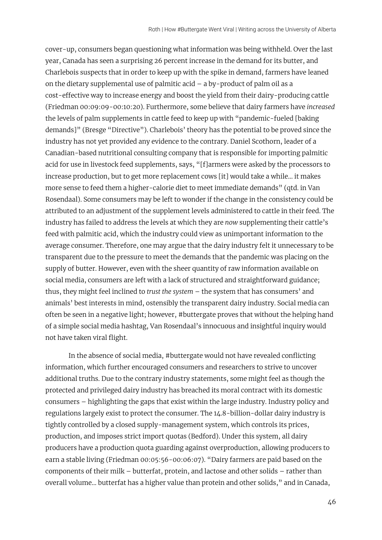cover-up, consumers began questioning what information was being withheld. Over the last year, Canada has seen a surprising 26 percent increase in the demand for its butter, and Charlebois suspects that in order to keep up with the spike in demand, farmers have leaned on the dietary supplemental use of palmitic acid – a by-product of palm oil as a cost-effective way to increase energy and boost the yield from their dairy-producing cattle (Friedman 00:09:09-00:10:20). Furthermore, some believe that dairy farmers have *increased* the levels of palm supplements in cattle feed to keep up with "pandemic-fueled [baking demands]" (Bresge "Directive"). Charlebois' theory has the potential to be proved since the industry has not yet provided any evidence to the contrary. Daniel Scothorn, leader of a Canadian-based nutritional consulting company that is responsible for importing palmitic acid for use in livestock feed supplements, says, "[f]armers were asked by the processors to increase production, but to get more replacement cows [it] would take a while… it makes more sense to feed them a higher-calorie diet to meet immediate demands" (qtd. in Van Rosendaal). Some consumers may be left to wonder if the change in the consistency could be attributed to an adjustment of the supplement levels administered to cattle in their feed. The industry has failed to address the levels at which they are *now* supplementing their cattle's feed with palmitic acid, which the industry could view as unimportant information to the average consumer. Therefore, one may argue that the dairy industry felt it unnecessary to be transparent due to the pressure to meet the demands that the pandemic was placing on the supply of butter. However, even with the sheer quantity of raw information available on social media, consumers are left with a lack of structured and straightforward guidance; thus, they might feel inclined to *trust the system* – the system that has consumers' and animals' best interests in mind, ostensibly the transparent dairy industry. Social media can often be seen in a negative light; however, #buttergate proves that without the helping hand of a simple social media hashtag, Van Rosendaal's innocuous and insightful inquiry would not have taken viral flight.

In the absence of social media, #buttergate would not have revealed conflicting information, which further encouraged consumers and researchers to strive to uncover additional truths. Due to the contrary industry statements, some might feel as though the protected and privileged dairy industry has breached its moral contract with its domestic consumers – highlighting the gaps that exist within the large industry. Industry policy and regulations largely exist to protect the consumer. The 14.8-billion-dollar dairy industry is tightly controlled by a closed supply-management system, which controls its prices, production, and imposes strict import quotas (Bedford). Under this system, all dairy producers have a production quota guarding against overproduction, allowing producers to earn a stable living (Friedman 00:05:56-00:06:07). "Dairy farmers are paid based on the components of their milk – butterfat, protein, and lactose and other solids – rather than overall volume… butterfat has a higher value than protein and other solids," and in Canada,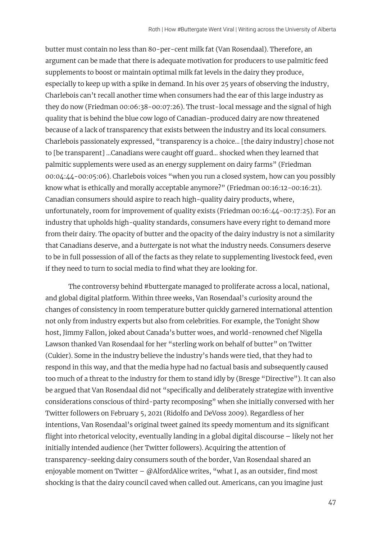butter must contain no less than 80-per-cent milk fat (Van Rosendaal). Therefore, an argument can be made that there is adequate motivation for producers to use palmitic feed supplements to boost or maintain optimal milk fat levels in the dairy they produce, especially to keep up with a spike in demand. In his over 25 years of observing the industry, Charlebois can't recall another time when consumers had the ear of this large industry as they do now (Friedman 00:06:38-00:07:26). The trust-local message and the signal of high quality that is behind the blue cow logo of Canadian-produced dairy are now threatened because of a lack of transparency that exists between the industry and its local consumers. Charlebois passionately expressed, "transparency is a choice… [the dairy industry] chose not to [be transparent] …Canadians were caught off guard… shocked when they learned that palmitic supplements were used as an energy supplement on dairy farms" (Friedman 00:04:44-00:05:06). Charlebois voices "when you run a closed system, how can you possibly know what is ethically and morally acceptable anymore?" (Friedman 00:16:12-00:16:21). Canadian consumers should aspire to reach high-quality dairy products, where, unfortunately, room for improvement of quality exists (Friedman 00:16:44-00:17:25). For an industry that upholds high-quality standards, consumers have every right to demand more from their dairy. The opacity of butter and the opacity of the dairy industry is not a similarity that Canadians deserve, and a *butter*gate is not what the industry needs. Consumers deserve to be in full possession of all of the facts as they relate to supplementing livestock feed, even if they need to turn to social media to find what they are looking for.

The controversy behind #buttergate managed to proliferate across a local, national, and global digital platform. Within three weeks, Van Rosendaal's curiosity around the changes of consistency in room temperature butter quickly garnered international attention not only from industry experts but also from celebrities. For example, the Tonight Show host, Jimmy Fallon, joked about Canada's butter woes, and world-renowned chef Nigella Lawson thanked Van Rosendaal for her "sterling work on behalf of butter" on Twitter (Cukier). Some in the industry believe the industry's hands were tied, that they had to respond in this way, and that the media hype had no factual basis and subsequently caused too much of a threat to the industry for them to stand idly by (Bresge "Directive"). It can also be argued that Van Rosendaal did not "specifically and deliberately strategize with inventive considerations conscious of third-party recomposing" when she initially conversed with her Twitter followers on February 5, 2021 (Ridolfo and DeVoss 2009). Regardless of her intentions, Van Rosendaal's original tweet gained its speedy momentum and its significant flight into rhetorical velocity, eventually landing in a global digital discourse – likely not her initially intended audience (her Twitter followers). Acquiring the attention of transparency-seeking dairy consumers south of the border, Van Rosendaal shared an enjoyable moment on Twitter –  $\omega$ AlfordAlice writes, "what I, as an outsider, find most shocking is that the dairy council caved when called out. Americans, can you imagine just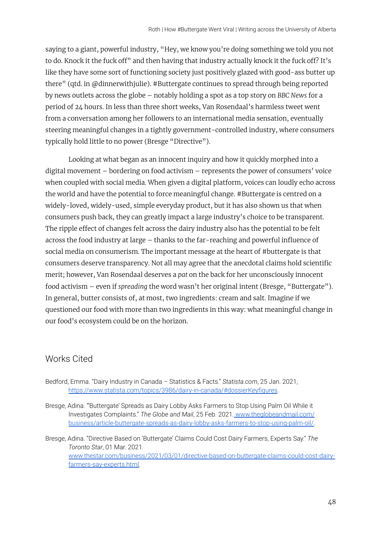saying to a giant, powerful industry, "Hey, we know you're doing something we told you not to do. Knock it the fuck off" and then having that industry actually knock it the fuck off? It's like they have some sort of functioning society just positively glazed with good-ass butter up there" (qtd. in @dinnerwithjulie). #Buttergate continues to spread through being reported by news outlets across the globe – notably holding a spot as a top story on *BBC News* for a period of 24 hours. In less than three short weeks, Van Rosendaal's harmless tweet went from a conversation among her followers to an international media sensation, eventually steering meaningful changes in a tightly government-controlled industry, where consumers typically hold little to no power (Bresge "Directive").

Looking at what began as an innocent inquiry and how it quickly morphed into a digital movement – bordering on food activism – represents the power of consumers' voice when coupled with social media. When given a digital platform, voices can loudly echo across the world and have the potential to force meaningful change. #Buttergate is centred on a widely-loved, widely-used, simple everyday product, but it has also shown us that when consumers push back, they can greatly impact a large industry's choice to be transparent. The ripple effect of changes felt across the dairy industry also has the potential to be felt across the food industry at large – thanks to the far-reaching and powerful influence of social media on consumerism. The important message at the heart of #buttergate is that consumers deserve transparency. Not all may agree that the anecdotal claims hold scientific merit; however, Van Rosendaal deserves a *pat* on the back for her unconsciously innocent food activism – even if *spreading* the word wasn't her original intent (Bresge, "Buttergate"). In general, butter consists of, at most, two ingredients: cream and salt. Imagine if we questioned our food with more than two ingredients in this way: what meaningful change in our food's ecosystem could be on the horizon.

## Works Cited

Bedford, Emma. "Dairy Industry in Canada – Statistics & Facts." *Statista.com*, 25 Jan. 2021, [https://www.statista.com/topics/3986/dairy-in-canada/#dossierKeyfigures.](https://www.statista.com/topics/3986/dairy-in-canada/#dossierKeyfigures)

Bresge, Adina. "'Buttergate' Spreads as Dairy Lobby Asks Farmers to Stop Using Palm Oil While it Investigates Complaints." *The Globe and Mail*, 25 Feb. 2021*.* [www.theglobeandmail.com/](http://www.theglobeandmail.com/) [business/article-buttergate-spreads-as-dairy-lobby-asks-farmers-to-stop-using-palm-oil/.](http://www.theglobeandmail.com/)

Bresge, Adina. "Directive Based on 'Buttergate' Claims Could Cost Dairy Farmers, Experts Say." *The Toronto Star*, 01 Mar. 2021*.* [www.thestar.com/business/2021/03/01/directive-based-on-buttergate-claims-could-cost-dairy](http://www.thestar.com/business/2021/03/01/directive-based-on-buttergate-claims-could-cost-dairy-farmers-say-experts.html)[farmers-say-experts.html.](http://www.thestar.com/business/2021/03/01/directive-based-on-buttergate-claims-could-cost-dairy-farmers-say-experts.html)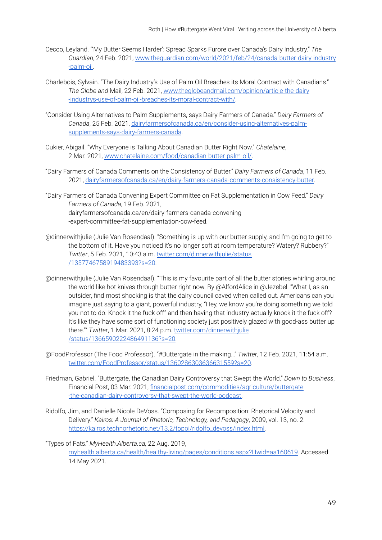- Cecco, Leyland. "'My Butter Seems Harder': Spread Sparks Furore over Canada's Dairy Industry." *The Guardian*, 24 Feb. 2021, [www.theguardian.com/world/2021/feb/24/canada-butter-dairy-industry](http://www.theguardian.com/world/2021/feb/24/canada-butter-dairy-industry) [-palm-oil.](http://www.theguardian.com/world/2021/feb/24/canada-butter-dairy-industry)
- Charlebois, Sylvain. "The Dairy Industry's Use of Palm Oil Breaches its Moral Contract with Canadians." *The Globe and* Mail, 22 Feb. 2021, [www.theglobeandmail.com/opinion/article-the-dairy](http://www.theglobeandmail.com/opinion/article-the-dairy) [-industrys-use-of-palm-oil-breaches-its-moral-contract-with/](http://www.theglobeandmail.com/opinion/article-the-dairy).
- "Consider Using Alternatives to Palm Supplements, says Dairy Farmers of Canada." *Dairy Farmers of Canada*, 25 Feb. 2021, [dairyfarmersofcanada.ca/en/consider-using-alternatives-palm](http://dairyfarmersofcanada.ca/en/consider-using-alternatives-palm-%20supplements-says-dairy-farmers-canada)[supplements-says-dairy-farmers-canada](http://dairyfarmersofcanada.ca/en/consider-using-alternatives-palm-%20supplements-says-dairy-farmers-canada).
- Cukier, Abigail. "Why Everyone is Talking About Canadian Butter Right Now." *Chatelaine*, 2 Mar. 2021, [www.chatelaine.com/food/canadian-butter-palm-oil/.](http://www.chatelaine.com/food/canadian-butter-palm-oil/)
- "Dairy Farmers of Canada Comments on the Consistency of Butter." *Dairy Farmers of Canada*, 11 Feb. 2021, [dairyfarmersofcanada.ca/en/dairy-farmers-canada-comments-consistency-butter.](http://dairyfarmersofcanada.ca/en/dairy-farmers-canada-comments-consistency-butter)
- "Dairy Farmers of Canada Convening Expert Committee on Fat Supplementation in Cow Feed." *Dairy Farmers of Canada*, 19 Feb. 2021, dairyfarmersofcanada.ca/en/dairy-farmers-canada-convening -expert-committee-fat-supplementation-cow-feed.
- @dinnerwithjulie (Julie Van Rosendaal). "Something is up with our butter supply, and I'm going to get to the bottom of it. Have you noticed it's no longer soft at room temperature? Watery? Rubbery?" *Twitter*, 5 Feb. 2021, 10:43 a.m. [twitter.com/dinnerwithjulie/status](http://twitter.com/dinnerwithjulie/status%20/1357746758919483393?s=20) [/1357746758919483393?s=20](http://twitter.com/dinnerwithjulie/status%20/1357746758919483393?s=20).
- @dinnerwithjulie (Julie Van Rosendaal). "This is my favourite part of all the butter stories whirling around the world like hot knives through butter right now. By @AlfordAlice in @Jezebel: "What I, as an outsider, find most shocking is that the dairy council caved when called out. Americans can you imagine just saying to a giant, powerful industry, "Hey, we know you're doing something we told you not to do. Knock it the fuck off" and then having that industry actually knock it the fuck off? It's like they have some sort of functioning society just positively glazed with good-ass butter up there."" *Twitter*, 1 Mar. 2021, 8:24 p.m. [twitter.com/dinnerwithjulie](http://twitter.com/dinnerwithjulie%20/status/1366590222486491136?s=20) [/status/1366590222486491136?s=20.](http://twitter.com/dinnerwithjulie%20/status/1366590222486491136?s=20)
- @FoodProfessor (The Food Professor). "#Buttergate in the making…" *Twitter*, 12 Feb. 2021, 11:54 a.m. [twitter.com/FoodProfessor/status/1360286303636631559?s=20.](http://twitter.com/FoodProfessor/status/1360286303636631559?s=20)
- Friedman, Gabriel. "Buttergate, the Canadian Dairy Controversy that Swept the World." *Down to Business*, Financial Post, 03 Mar. 2021, [financialpost.com/commodities/agriculture/buttergate](http://financialpost.com/commodities/agriculture/buttergate%20-the-canadian-dairy-controversy-that-swept-the-world-podcast) [-the-canadian-dairy-controversy-that-swept-the-world-podcast.](http://financialpost.com/commodities/agriculture/buttergate%20-the-canadian-dairy-controversy-that-swept-the-world-podcast)
- Ridolfo, Jim, and Danielle Nicole DeVoss. "Composing for Recomposition: Rhetorical Velocity and Delivery." *Kairos: A Journal of Rhetoric, Technology, and Pedagogy*, 2009, vol. 13, no. 2. [https://kairos.technorhetoric.net/13.2/topoi/ridolfo\\_devoss/index.html.](https://kairos.technorhetoric.net/13.2/topoi/ridolfo_devoss/index.html)

"Types of Fats." *MyHealth.Alberta.ca,* 22 Aug. 2019,

[myhealth.alberta.ca/health/healthy-living/pages/conditions.aspx?Hwid=aa160619.](http://myhealth.alberta.ca/health/healthy-living/pages/conditions.aspx?Hwid=aa160619) Accessed 14 May 2021.